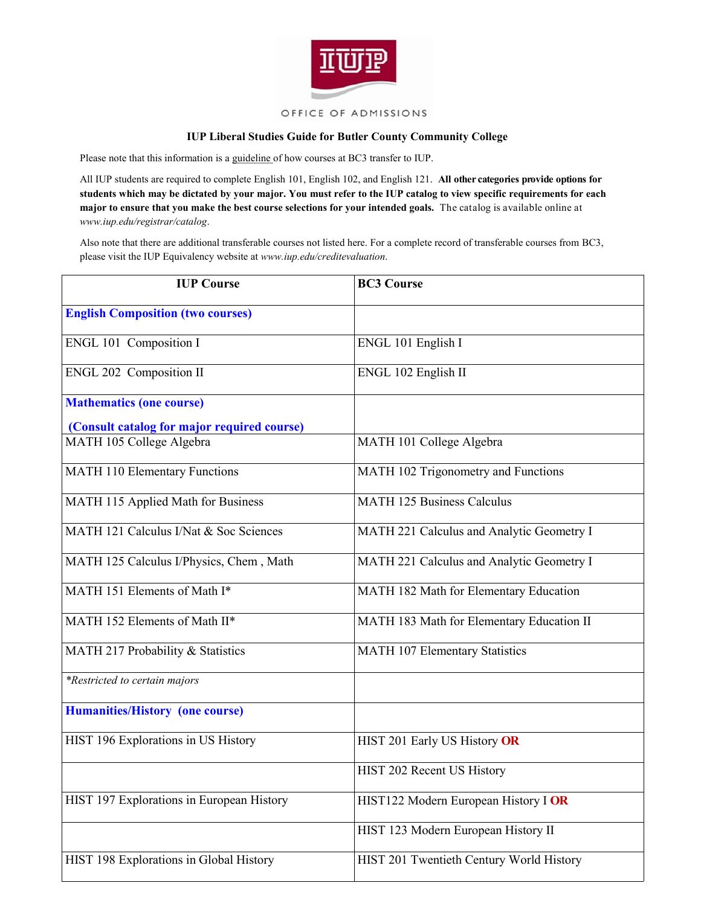

## **IUP Liberal Studies Guide for Butler County Community College**

Please note that this information is a guideline of how courses at BC3 transfer to IUP.

All IUP students are required to complete English 101, English 102, and English 121. **All other categories provide options for students which may be dictated by your major. You must refer to the IUP catalog to view specific requirements for each major to ensure that you make the best course selections for your intended goals.** The catalog is available online at *www.iup.edu/registrar/catalog*.

Also note that there are additional transferable courses not listed here. For a complete record of transferable courses from BC3, please visit the IUP Equivalency website at *www.iup.edu/creditevaluation*.

| <b>IUP Course</b>                           | <b>BC3 Course</b>                         |
|---------------------------------------------|-------------------------------------------|
| <b>English Composition (two courses)</b>    |                                           |
| ENGL 101 Composition I                      | ENGL 101 English I                        |
| ENGL 202 Composition II                     | ENGL 102 English II                       |
| <b>Mathematics (one course)</b>             |                                           |
| (Consult catalog for major required course) |                                           |
| MATH 105 College Algebra                    | MATH 101 College Algebra                  |
| <b>MATH 110 Elementary Functions</b>        | MATH 102 Trigonometry and Functions       |
| MATH 115 Applied Math for Business          | <b>MATH 125 Business Calculus</b>         |
| MATH 121 Calculus I/Nat & Soc Sciences      | MATH 221 Calculus and Analytic Geometry I |
| MATH 125 Calculus I/Physics, Chem, Math     | MATH 221 Calculus and Analytic Geometry I |
| MATH 151 Elements of Math I*                | MATH 182 Math for Elementary Education    |
| MATH 152 Elements of Math II*               | MATH 183 Math for Elementary Education II |
| MATH 217 Probability & Statistics           | <b>MATH 107 Elementary Statistics</b>     |
| *Restricted to certain majors               |                                           |
| <b>Humanities/History (one course)</b>      |                                           |
| HIST 196 Explorations in US History         | HIST 201 Early US History OR              |
|                                             | HIST 202 Recent US History                |
| HIST 197 Explorations in European History   | HIST122 Modern European History I OR      |
|                                             | HIST 123 Modern European History II       |
| HIST 198 Explorations in Global History     | HIST 201 Twentieth Century World History  |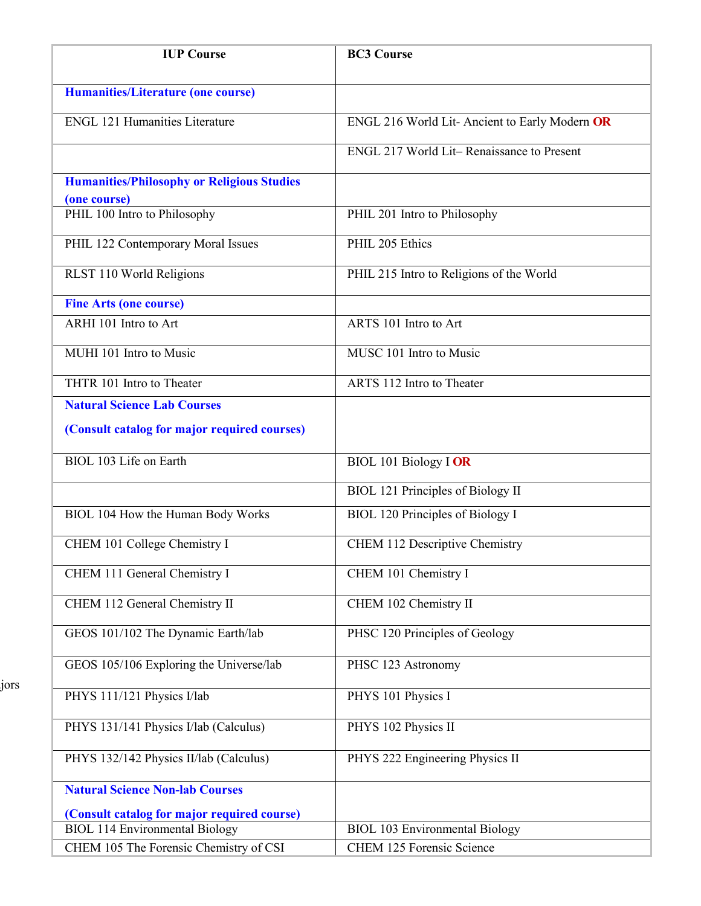| <b>IUP Course</b>                                                 | <b>BC3 Course</b>                             |
|-------------------------------------------------------------------|-----------------------------------------------|
| <b>Humanities/Literature (one course)</b>                         |                                               |
| <b>ENGL 121 Humanities Literature</b>                             | ENGL 216 World Lit-Ancient to Early Modern OR |
|                                                                   | ENGL 217 World Lit-Renaissance to Present     |
| <b>Humanities/Philosophy or Religious Studies</b><br>(one course) |                                               |
| PHIL 100 Intro to Philosophy                                      | PHIL 201 Intro to Philosophy                  |
| PHIL 122 Contemporary Moral Issues                                | PHIL 205 Ethics                               |
| RLST 110 World Religions                                          | PHIL 215 Intro to Religions of the World      |
| <b>Fine Arts (one course)</b>                                     |                                               |
| ARHI 101 Intro to Art                                             | ARTS 101 Intro to Art                         |
| MUHI 101 Intro to Music                                           | MUSC 101 Intro to Music                       |
| THTR 101 Intro to Theater                                         | ARTS 112 Intro to Theater                     |
| <b>Natural Science Lab Courses</b>                                |                                               |
| (Consult catalog for major required courses)                      |                                               |
| BIOL 103 Life on Earth                                            | <b>BIOL 101 Biology I OR</b>                  |
|                                                                   | <b>BIOL 121 Principles of Biology II</b>      |
| BIOL 104 How the Human Body Works                                 | <b>BIOL 120 Principles of Biology I</b>       |
| CHEM 101 College Chemistry I                                      | CHEM 112 Descriptive Chemistry                |
| CHEM 111 General Chemistry I                                      | CHEM 101 Chemistry I                          |
| CHEM 112 General Chemistry II                                     | CHEM 102 Chemistry II                         |
| GEOS 101/102 The Dynamic Earth/lab                                | PHSC 120 Principles of Geology                |
| GEOS 105/106 Exploring the Universe/lab                           | PHSC 123 Astronomy                            |
| PHYS 111/121 Physics I/lab                                        | PHYS 101 Physics I                            |
| PHYS 131/141 Physics I/lab (Calculus)                             | PHYS 102 Physics II                           |
| PHYS 132/142 Physics II/lab (Calculus)                            | PHYS 222 Engineering Physics II               |
| <b>Natural Science Non-lab Courses</b>                            |                                               |
| (Consult catalog for major required course)                       |                                               |
| <b>BIOL 114 Environmental Biology</b>                             | <b>BIOL 103 Environmental Biology</b>         |
| CHEM 105 The Forensic Chemistry of CSI                            | <b>CHEM 125 Forensic Science</b>              |

jors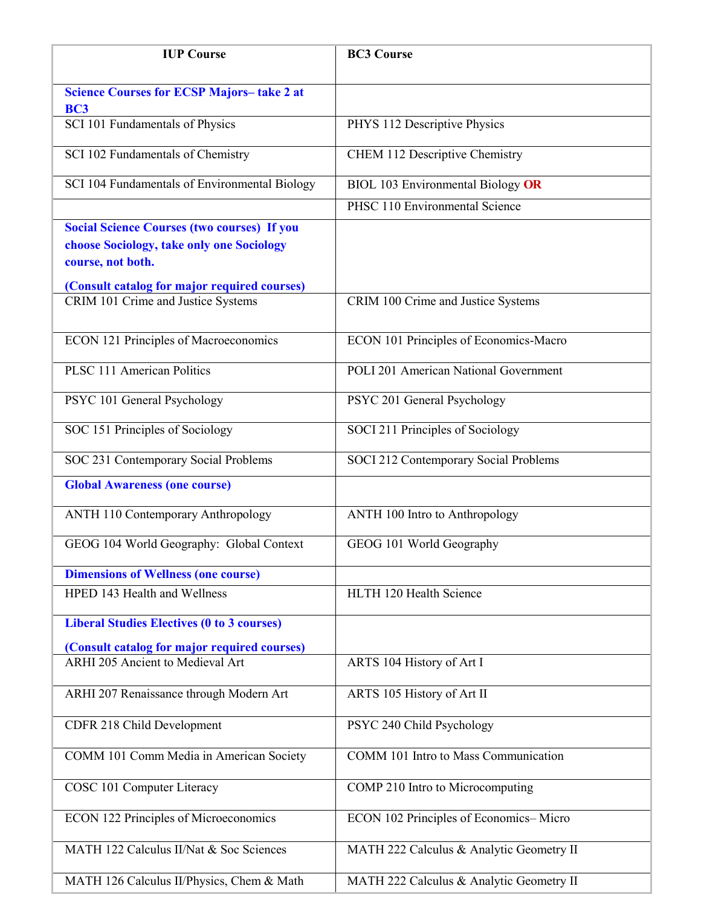| <b>IUP Course</b>                                                                                                    | <b>BC3 Course</b>                        |
|----------------------------------------------------------------------------------------------------------------------|------------------------------------------|
| <b>Science Courses for ECSP Majors-take 2 at</b>                                                                     |                                          |
| <b>BC3</b><br>SCI 101 Fundamentals of Physics                                                                        | PHYS 112 Descriptive Physics             |
| SCI 102 Fundamentals of Chemistry                                                                                    | <b>CHEM 112 Descriptive Chemistry</b>    |
| SCI 104 Fundamentals of Environmental Biology                                                                        | <b>BIOL 103 Environmental Biology OR</b> |
|                                                                                                                      | PHSC 110 Environmental Science           |
| <b>Social Science Courses (two courses) If you</b><br>choose Sociology, take only one Sociology<br>course, not both. |                                          |
| (Consult catalog for major required courses)                                                                         |                                          |
| CRIM 101 Crime and Justice Systems                                                                                   | CRIM 100 Crime and Justice Systems       |
| <b>ECON 121 Principles of Macroeconomics</b>                                                                         | ECON 101 Principles of Economics-Macro   |
| <b>PLSC 111 American Politics</b>                                                                                    | POLI 201 American National Government    |
| PSYC 101 General Psychology                                                                                          | PSYC 201 General Psychology              |
| SOC 151 Principles of Sociology                                                                                      | SOCI 211 Principles of Sociology         |
| SOC 231 Contemporary Social Problems                                                                                 | SOCI 212 Contemporary Social Problems    |
| <b>Global Awareness (one course)</b>                                                                                 |                                          |
| <b>ANTH 110 Contemporary Anthropology</b>                                                                            | ANTH 100 Intro to Anthropology           |
| GEOG 104 World Geography: Global Context                                                                             | GEOG 101 World Geography                 |
| <b>Dimensions of Wellness (one course)</b>                                                                           |                                          |
| HPED 143 Health and Wellness                                                                                         | HLTH 120 Health Science                  |
| <b>Liberal Studies Electives (0 to 3 courses)</b>                                                                    |                                          |
| (Consult catalog for major required courses)<br>ARHI 205 Ancient to Medieval Art                                     |                                          |
|                                                                                                                      | ARTS 104 History of Art I                |
| ARHI 207 Renaissance through Modern Art                                                                              | ARTS 105 History of Art II               |
| CDFR 218 Child Development                                                                                           | PSYC 240 Child Psychology                |
| COMM 101 Comm Media in American Society                                                                              | COMM 101 Intro to Mass Communication     |
| COSC 101 Computer Literacy                                                                                           | COMP 210 Intro to Microcomputing         |
| <b>ECON 122 Principles of Microeconomics</b>                                                                         | ECON 102 Principles of Economics-Micro   |
| MATH 122 Calculus II/Nat & Soc Sciences                                                                              | MATH 222 Calculus & Analytic Geometry II |
| MATH 126 Calculus II/Physics, Chem & Math                                                                            | MATH 222 Calculus & Analytic Geometry II |